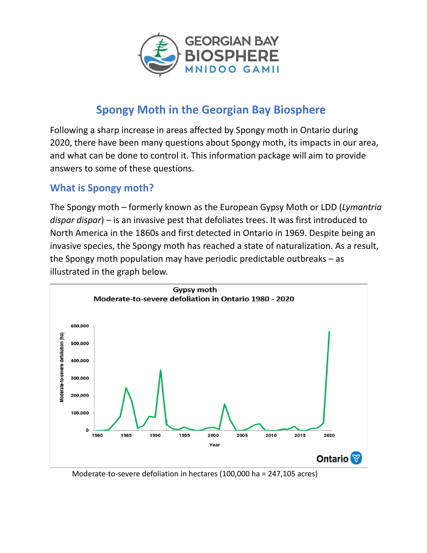

# **Spongy Moth in the Georgian Bay Biosphere**

Following a sharp increase in areas affected by Spongy moth in Ontario during 2020, there have been many questions about Spongy moth, its impacts in our area, and what can be done to control it. This information package will aim to provide answers to some of these questions.

### **What is Spongy moth?**

The Spongy moth – formerly known as the European Gypsy Moth or LDD (*Lymantria dispar dispar*) – is an invasive pest that defoliates trees. It was first introduced to North America in the 1860s and first detected in Ontario in 1969. Despite being an invasive species, the Spongy moth has reached a state of naturalization. As a result, the Spongy moth population may have periodic predictable outbreaks – as illustrated in the graph below.



Moderate‐to‐severe defoliation in hectares (100,000 ha = 247,105 acres)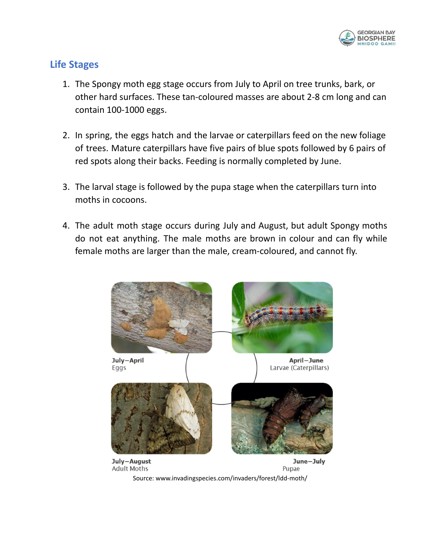

### **Life Stages**

- 1. The Spongy moth egg stage occurs from July to April on tree trunks, bark, or other hard surfaces. These tan‐coloured masses are about 2‐8 cm long and can contain 100‐1000 eggs.
- 2. In spring, the eggs hatch and the larvae or caterpillars feed on the new foliage of trees. Mature caterpillars have five pairs of blue spots followed by 6 pairs of red spots along their backs. Feeding is normally completed by June.
- 3. The larval stage is followed by the pupa stage when the caterpillars turn into moths in cocoons.
- 4. The adult moth stage occurs during July and August, but adult Spongy moths do not eat anything. The male moths are brown in colour and can fly while female moths are larger than the male, cream‐coloured, and cannot fly.



Source: [www.invadingspecies.com/invaders/forest/ldd](http://www.invadingspecies.com/invaders/forest/ldd)‐moth/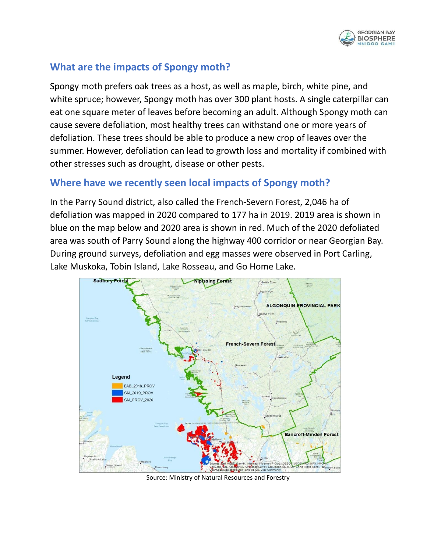

# **What are the impacts of Spongy moth?**

Spongy moth prefers oak trees as a host, as well as maple, birch, white pine, and white spruce; however, Spongy moth has over 300 plant hosts. A single caterpillar can eat one square meter of leaves before becoming an adult. Although Spongy moth can cause severe defoliation, most healthy trees can withstand one or more years of defoliation. These trees should be able to produce a new crop of leaves over the summer. However, defoliation can lead to growth loss and mortality if combined with other stresses such as drought, disease or other pests.

### **Where have we recently seen local impacts of Spongy moth?**

In the Parry Sound district, also called the French‐Severn Forest, 2,046 ha of defoliation was mapped in 2020 compared to 177 ha in 2019. 2019 area is shown in blue on the map below and 2020 area is shown in red. Much of the 2020 defoliated area was south of Parry Sound along the highway 400 corridor or near Georgian Bay. During ground surveys, defoliation and egg masses were observed in Port Carling, Lake Muskoka, Tobin Island, Lake Rosseau, and Go Home Lake.



Source: Ministry of Natural Resources and Forestry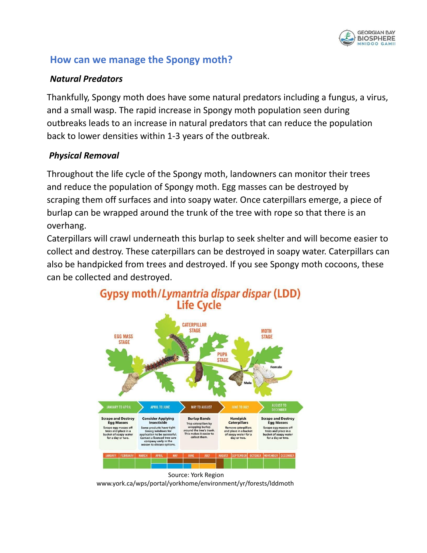

### **How can we manage the Spongy moth?**

#### *Natural Predators*

Thankfully, Spongy moth does have some natural predators including a fungus, a virus, and a small wasp. The rapid increase in Spongy moth population seen during outbreaks leads to an increase in natural predators that can reduce the population back to lower densities within 1‐3 years of the outbreak.

### *Physical Removal*

Throughout the life cycle of the Spongy moth, landowners can monitor their trees and reduce the population of Spongy moth. Egg masses can be destroyed by scraping them off surfaces and into soapy water. Once caterpillars emerge, a piece of burlap can be wrapped around the trunk of the tree with rope so that there is an overhang.

Caterpillars will crawl underneath this burlap to seek shelter and will become easier to collect and destroy. These caterpillars can be destroyed in soapy water. Caterpillars can also be handpicked from trees and destroyed. If you see Spongy moth cocoons, these can be collected and destroyed.





[www.york.ca/wps/portal/yorkhome/environment/yr/forests/lddmoth](http://www.york.ca/wps/portal/yorkhome/environment/yr/forests/lddmoth)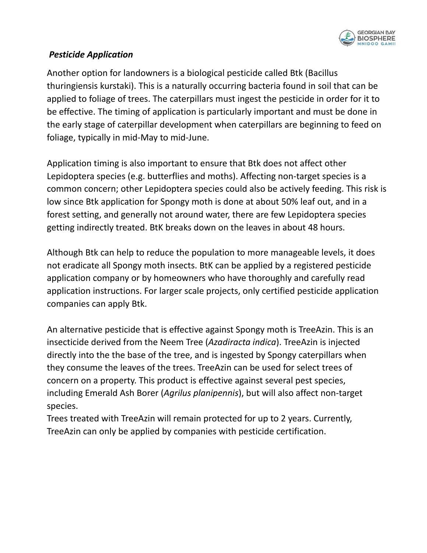

#### *Pesticide Application*

Another option for landowners is a biological pesticide called Btk (Bacillus thuringiensis kurstaki). This is a naturally occurring bacteria found in soil that can be applied to foliage of trees. The caterpillars must ingest the pesticide in order for it to be effective. The timing of application is particularly important and must be done in the early stage of caterpillar development when caterpillars are beginning to feed on foliage, typically in mid‐May to mid‐June.

Application timing is also important to ensure that Btk does not affect other Lepidoptera species (e.g. butterflies and moths). Affecting non‐target species is a common concern; other Lepidoptera species could also be actively feeding. This risk is low since Btk application for Spongy moth is done at about 50% leaf out, and in a forest setting, and generally not around water, there are few Lepidoptera species getting indirectly treated. BtK breaks down on the leaves in about 48 hours.

Although Btk can help to reduce the population to more manageable levels, it does not eradicate all Spongy moth insects. BtK can be applied by a registered pesticide application company or by homeowners who have thoroughly and carefully read application instructions. For larger scale projects, only certified pesticide application companies can apply Btk.

An alternative pesticide that is effective against Spongy moth is TreeAzin. This is an insecticide derived from the Neem Tree (*Azadiracta indica*). TreeAzin is injected directly into the the base of the tree, and is ingested by Spongy caterpillars when they consume the leaves of the trees. TreeAzin can be used for select trees of concern on a property. This product is effective against several pest species, including Emerald Ash Borer (*Agrilus planipennis*), but will also affect non‐target species.

Trees treated with TreeAzin will remain protected for up to 2 years. Currently, TreeAzin can only be applied by companies with pesticide certification.